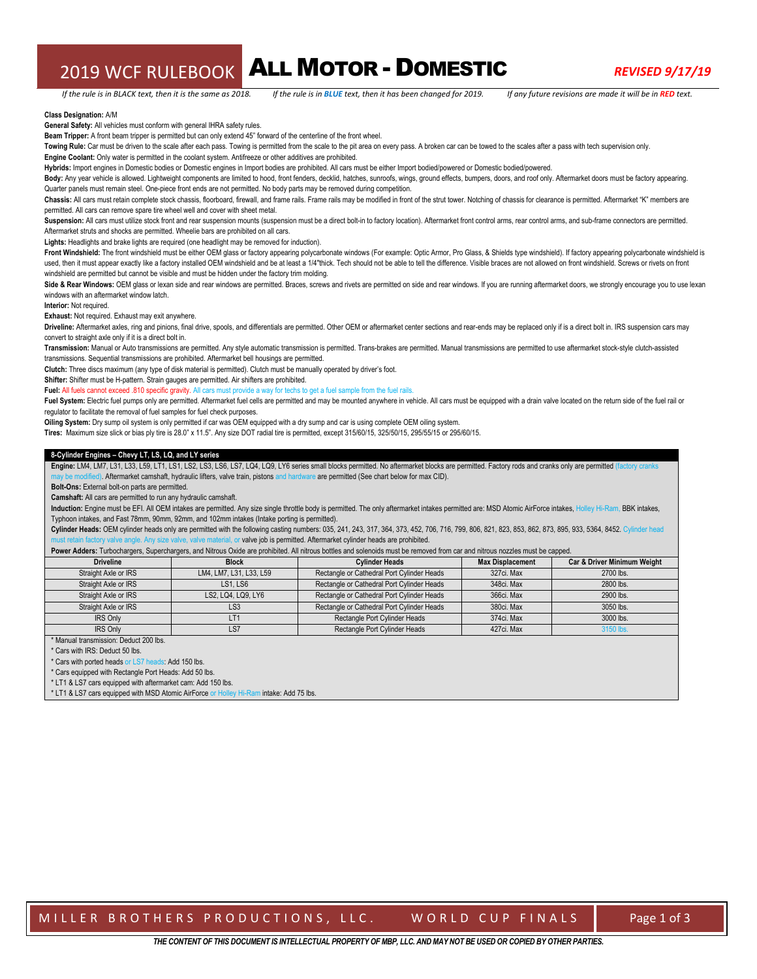## 2019 WCF RULEBOOK ALL MOTOR - DOMESTIC *REVISED 9/17/19*

#### **Class Designation:** A/M

**General Safety:** All vehicles must conform with general IHRA safety rules.

**Beam Tripper:** A front beam tripper is permitted but can only extend 45" forward of the centerline of the front wheel.

Towing Rule: Car must be driven to the scale after each pass. Towing is permitted from the scale to the pit area on every pass. A broken car can be towed to the scales after a pass with tech supervision only.

**Engine Coolant:** Only water is permitted in the coolant system. Antifreeze or other additives are prohibited.

**Hybrids:** Import engines in Domestic bodies or Domestic engines in Import bodies are prohibited. All cars must be either Import bodied/powered or Domestic bodied/powered.

Body: Any year vehicle is allowed. Lightweight components are limited to hood, front fenders, decklid, hatches, sunroofs, wings, ground effects, bumpers, doors, and roof only. Aftermarket doors must be factory appearing. Quarter panels must remain steel. One-piece front ends are not permitted. No body parts may be removed during competition

Chassis: All cars must retain complete stock chassis, floorboard, firewall, and frame rails. Frame rails may be modified in front of the strut tower. Notching of chassis for clearance is permitted. Aftermarket "K" members permitted. All cars can remove spare tire wheel well and cover with sheet metal.

Suspension: All cars must utilize stock front and rear suspension mounts (suspension must be a direct bolt-in to factory location). Aftermarket front control arms, rear control arms, and sub-frame connectors are permitted. Aftermarket struts and shocks are permitted. Wheelie bars are prohibited on all cars.

**Lights:** Headlights and brake lights are required (one headlight may be removed for induction).

Front Windshield: The front windshield must be either OEM glass or factory appearing polycarbonate windows (For example: Optic Armor, Pro Glass, & Shields type windshield). If factory appearing polycarbonate windshield is used, then it must appear exactly like a factory installed OEM windshield and be at least a 1/4"thick. Tech should not be able to tell the difference. Visible braces are not allowed on front windshield. Screws or rivets on windshield are permitted but cannot be visible and must be hidden under the factory trim molding.

Side & Rear Windows: OEM glass or lexan side and rear windows are permitted. Braces, screws and rivets are permitted on side and rear windows. If you are running aftermarket doors, we strongly encourage you to use lexan windows with an aftermarket window latch.

**Interior:** Not required.

**Exhaust:** Not required. Exhaust may exit anywhere.

Driveline: Aftermarket axles, ring and pinions, final drive, spools, and differentials are permitted. Other OEM or aftermarket center sections and rear-ends may be replaced only if is a direct bolt in. IRS suspension cars convert to straight axle only if it is a direct bolt in.

**Transmission:** Manual or Auto transmissions are permitted. Any style automatic transmission is permitted. Trans-brakes are permitted. Manual transmissions are permitted to use aftermarket stock-style clutch-assisted transmissions. Sequential transmissions are prohibited. Aftermarket bell housings are permitted.

**Clutch:** Three discs maximum (any type of disk material is permitted). Clutch must be manually operated by driver's foot.

**Shifter:** Shifter must be H-pattern. Strain gauges are permitted. Air shifters are prohibited.

Fuel: All fuels cannot exceed .810 specific gravity. All cars must provide a way for techs to get a fuel sample from the fuel rails.

Fuel System: Electric fuel pumps only are permitted. Aftermarket fuel cells are permitted and may be mounted anywhere in vehicle. All cars must be equipped with a drain valve located on the return side of the fuel rail or regulator to facilitate the removal of fuel samples for fuel check purposes.

**Oiling System:** Dry sump oil system is only permitted if car was OEM equipped with a dry sump and car is using complete OEM oiling system.

**Tires:** Maximum size slick or bias ply tire is 28.0" x 11.5". Any size DOT radial tire is permitted, except 315/60/15, 325/50/15, 295/55/15 or 295/60/15.

#### **8-Cylinder Engines – Chevy LT, LS, LQ, and LY series**

Engine: LM4, LM7, L31, L33, L59, LT1, LS1, LS2, LS3, LS6, LS7, LQ4, LQ9, LY6 series small blocks permitted. No aftermarket blocks are permitted. Factory rods and cranks only are permitted (factory cra . Aftermarket camshaft, hydraulic lifters, valve train, pistons and hardware are permitted (See chart below for max CID).

**Bolt-Ons:** External bolt-on parts are permitted.

**Camshaft:** All cars are permitted to run any hydraulic camshaft.

Induction: Engine must be EFI. All OEM intakes are permitted. Any size single throttle body is permitted. The only aftermarket intakes permitted are: MSD Atomic AirForce intakes, Holley Hi-Ram, BBK intakes, Typhoon intakes, and Fast 78mm, 90mm, 92mm, and 102mm intakes (Intake porting is permitted).

Cylinder Heads: OEM cylinder heads only are permitted with the following casting numbers: 035, 241, 243, 317, 364, 373, 452, 706, 716, 799, 806, 821, 823, 853, 862, 873, 895, 933, 5364, 8452. Cylinder head or valve job is permitted. Aftermarket cylinder heads are prohibited.

Power Adders: Turbochargers, Superchargers, and Nitrous Oxide are prohibited. All nitrous bottles and solenoids must be removed from car and nitrous nozzles must be capped.

| <b>Driveline</b>     | <b>Block</b>            | <b>Cylinder Heads</b>                      | <b>Max Displacement</b> | Car & Driver Minimum Weight |
|----------------------|-------------------------|--------------------------------------------|-------------------------|-----------------------------|
| Straight Axle or IRS | LM4, LM7, L31, L33, L59 | Rectangle or Cathedral Port Cylinder Heads | 327ci, Max              | 2700 lbs.                   |
| Straight Axle or IRS | <b>LS1. LS6</b>         | Rectangle or Cathedral Port Cylinder Heads | 348ci, Max              | 2800 lbs.                   |
| Straight Axle or IRS | LS2, LQ4, LQ9, LY6      | Rectangle or Cathedral Port Cylinder Heads | 366ci, Max              | 2900 lbs.                   |
| Straight Axle or IRS | LS <sub>3</sub>         | Rectangle or Cathedral Port Cylinder Heads | 380ci, Max              | 3050 lbs.                   |
| <b>IRS Only</b>      | LT1                     | Rectangle Port Cylinder Heads              | 374ci, Max              | 3000 lbs.                   |
| <b>IRS Only</b>      | LS7                     | Rectangle Port Cylinder Heads              | 427ci, Max              | 3150 lbs                    |

Manual transmission: Deduct 200 lbs.

\* Cars with IRS: Deduct 50 lbs.

\* Cars with ported heads or LS7 heads: Add 150 lbs.

\* Cars equipped with Rectangle Port Heads: Add 50 lbs.

\* LT1 & LS7 cars equipped with aftermarket cam: Add 150 lbs.

\* LT1 & LS7 cars equipped with MSD Atomic AirForce or Holley Hi-Ram intake: Add 75 lbs.

MILLER BROTHERS PRODUCTIONS, LLC. WORLD CUP FINALS | Page 1 of 3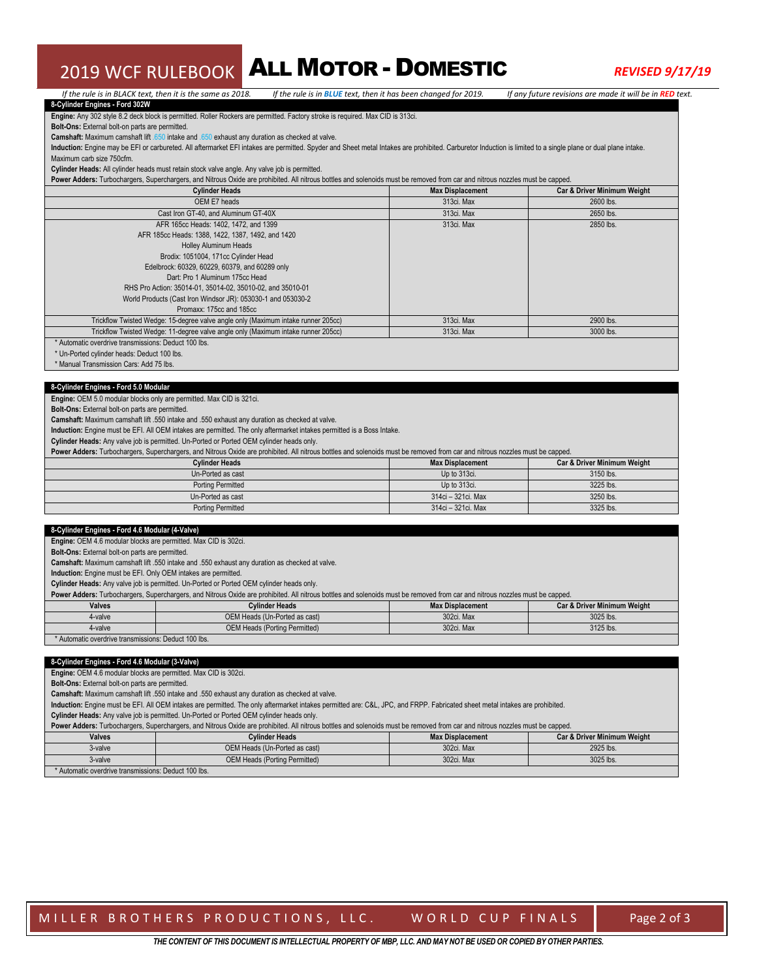## 2019 WCF RULEBOOK ALL MOTOR - DOMESTIC *REVISED 9/17/19*

#### If the rule is in BLACK text, then it is the same as 2018. If the rule is in BLUE text, then it has been changed for 2019. If any future revisions are made it will be in RED text. **8-Cylinder Engines - Ford 302W Engine:** Any 302 style 8.2 deck block is permitted. Roller Rockers are permitted. Factory stroke is required. Max CID is 313ci.

**Bolt-Ons:** External bolt-on parts are permitted.

**Camshaft:** Maximum camshaft lift .650 intake and .650 exhaust any duration as checked at valve.

**Induction:** Engine may be EFI or carbureted. All aftermarket EFI intakes are permitted. Spyder and Sheet metal Intakes are prohibited. Carburetor Induction is limited to a single plane or dual plane intake. Maximum carb size 750cfm.

**Cylinder Heads:** All cylinder heads must retain stock valve angle. Any valve job is permitted.

Power Adders: Turbochargers, Superchargers, and Nitrous Oxide are prohibited. All nitrous bottles and solenoids must be removed from car and nitrous nozzles must be capped.

| <b>Cylinder Heads</b>                                                             | <b>Max Displacement</b> | Car & Driver Minimum Weight |
|-----------------------------------------------------------------------------------|-------------------------|-----------------------------|
| OEM E7 heads                                                                      | 313ci, Max              | 2600 lbs.                   |
| Cast Iron GT-40, and Aluminum GT-40X                                              | 313ci. Max              | 2650 lbs.                   |
| AFR 165cc Heads: 1402, 1472, and 1399                                             | 313ci. Max              | 2850 lbs.                   |
| AFR 185cc Heads: 1388, 1422, 1387, 1492, and 1420                                 |                         |                             |
| Holley Aluminum Heads                                                             |                         |                             |
| Brodix: 1051004, 171cc Cylinder Head                                              |                         |                             |
| Edelbrock: 60329, 60229, 60379, and 60289 only                                    |                         |                             |
| Dart: Pro 1 Aluminum 175cc Head                                                   |                         |                             |
| RHS Pro Action: 35014-01, 35014-02, 35010-02, and 35010-01                        |                         |                             |
| World Products (Cast Iron Windsor JR): 053030-1 and 053030-2                      |                         |                             |
| Promaxx: 175cc and 185cc                                                          |                         |                             |
| Trickflow Twisted Wedge: 15-degree valve angle only (Maximum intake runner 205cc) | 313ci. Max              | 2900 lbs.                   |
| Trickflow Twisted Wedge: 11-degree valve angle only (Maximum intake runner 205cc) | 313ci. Max              | 3000 lbs.                   |
| * Automatic overdrive transmissions: Deduct 100 lbs.                              |                         |                             |

\* Un-Ported cylinder heads: Deduct 100 lbs.

\* Manual Transmission Cars: Add 75 lbs.

#### **8-Cylinder Engines - Ford 5.0 Modular**

**Engine:** OEM 5.0 modular blocks only are permitted. Max CID is 321ci.

**Bolt-Ons:** External bolt-on parts are permitted.

**Camshaft:** Maximum camshaft lift .550 intake and .550 exhaust any duration as checked at valve.

**Induction:** Engine must be EFI. All OEM intakes are permitted. The only aftermarket intakes permitted is a Boss Intake.

**Cylinder Heads:** Any valve job is permitted. Un-Ported or Ported OEM cylinder heads only.

**Power Adders:** Turbochargers, Superchargers, and Nitrous Oxide are prohibited. All nitrous bottles and solenoids must be removed from car and nitrous nozzles must be capped.

| Cvlinder Heads           | <b>Max Displacement</b> | Car & Driver Minimum Weight |  |
|--------------------------|-------------------------|-----------------------------|--|
| Un-Ported as cast        | Up to 313ci.            | 3150 lbs.                   |  |
| <b>Porting Permitted</b> | Up to 313ci.            | 3225 lbs.                   |  |
| Un-Ported as cast        | 314ci - 321ci, Max      | 3250 lbs.                   |  |
| <b>Porting Permitted</b> | 314ci - 321ci, Max      | 3325 lbs.                   |  |

#### **8-Cylinder Engines - Ford 4.6 Modular (4-Valve)**

**Engine:** OEM 4.6 modular blocks are permitted. Max CID is 302ci.

**Bolt-Ons:** External bolt-on parts are permitted.

**Camshaft:** Maximum camshaft lift .550 intake and .550 exhaust any duration as checked at valve.

**Induction:** Engine must be EFI. Only OEM intakes are permitted.

**Cylinder Heads:** Any valve job is permitted. Un-Ported or Ported OEM cylinder heads only.

Power Adders: Turbochargers, Superchargers, and Nitrous Oxide are prohibited. All nitrous bottles and solenoids must be removed from car and nitrous nozzles must be capped.

| <b>Valves</b> | <b>Cylinder Heads</b>                | <b>Max Displacement</b> | Car & Driver Minimum Weight |  |
|---------------|--------------------------------------|-------------------------|-----------------------------|--|
| 4-valve       | OEM Heads (Un-Ported as cast)        | 302ci, Max              | 3025 lbs.                   |  |
| 4-valve       | <b>OEM Heads (Porting Permitted)</b> | 302ci, Max              | 3125 lbs.                   |  |
| .             | ___________                          |                         |                             |  |

### \* Automatic overdrive transmissions: Deduct 100 lbs.

#### **8-Cylinder Engines - Ford 4.6 Modular (3-Valve)**

**Engine:** OEM 4.6 modular blocks are permitted. Max CID is 302ci.

**Bolt-Ons:** External bolt-on parts are permitted.

**Camshaft:** Maximum camshaft lift .550 intake and .550 exhaust any duration as checked at valve.

**Induction:** Engine must be EFI. All OEM intakes are permitted. The only aftermarket intakes permitted are: C&L, JPC, and FRPP. Fabricated sheet metal intakes are prohibited.

**Cylinder Heads:** Any valve job is permitted. Un-Ported or Ported OEM cylinder heads only.

| Power Adders: Turbochargers, Superchargers, and Nitrous Oxide are prohibited. All nitrous bottles and solenoids must be removed from car and nitrous nozzles must be capped. |                                      |                         |                                        |  |
|------------------------------------------------------------------------------------------------------------------------------------------------------------------------------|--------------------------------------|-------------------------|----------------------------------------|--|
| <b>Valves</b>                                                                                                                                                                | <b>Cylinder Heads</b>                | <b>Max Displacement</b> | <b>Car &amp; Driver Minimum Weight</b> |  |
| 3-valve                                                                                                                                                                      | OEM Heads (Un-Ported as cast)        | 302ci, Max              | 2925 lbs.                              |  |
| 3-valve                                                                                                                                                                      | <b>OEM Heads (Porting Permitted)</b> | 302ci, Max              | 3025 lbs.                              |  |
| * Automatic overdrive transmissions: Deduct 100 lbs.                                                                                                                         |                                      |                         |                                        |  |

MILLER BROTHERS PRODUCTIONS, LLC. WORLD CUP FINALS Page 2 of 3